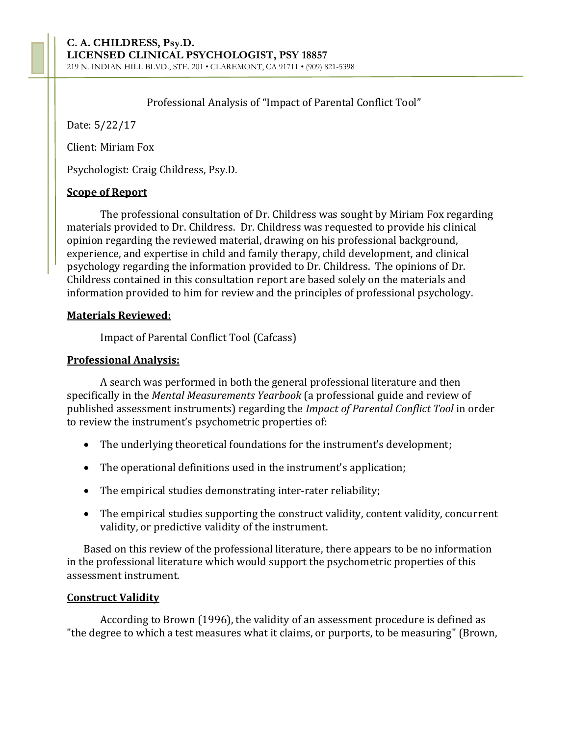### Professional Analysis of "Impact of Parental Conflict Tool"

Date: 5/22/17

Client: Miriam Fox

Psychologist: Craig Childress, Psy.D.

### **Scope of Report**

The professional consultation of Dr. Childress was sought by Miriam Fox regarding materials provided to Dr. Childress. Dr. Childress was requested to provide his clinical opinion regarding the reviewed material, drawing on his professional background, experience, and expertise in child and family therapy, child development, and clinical psychology regarding the information provided to Dr. Childress. The opinions of Dr. Childress contained in this consultation report are based solely on the materials and information provided to him for review and the principles of professional psychology.

### **Materials Reviewed:**

Impact of Parental Conflict Tool (Cafcass)

### **Professional Analysis:**

A search was performed in both the general professional literature and then specifically in the *Mental Measurements Yearbook* (a professional guide and review of published assessment instruments) regarding the *Impact of Parental Conflict Tool* in order to review the instrument's psychometric properties of:

- The underlying theoretical foundations for the instrument's development;
- The operational definitions used in the instrument's application;
- The empirical studies demonstrating inter-rater reliability;
- The empirical studies supporting the construct validity, content validity, concurrent validity, or predictive validity of the instrument.

Based on this review of the professional literature, there appears to be no information in the professional literature which would support the psychometric properties of this assessment instrument.

### **Construct Validity**

According to Brown (1996), the validity of an assessment procedure is defined as "the degree to which a test measures what it claims, or purports, to be measuring" (Brown,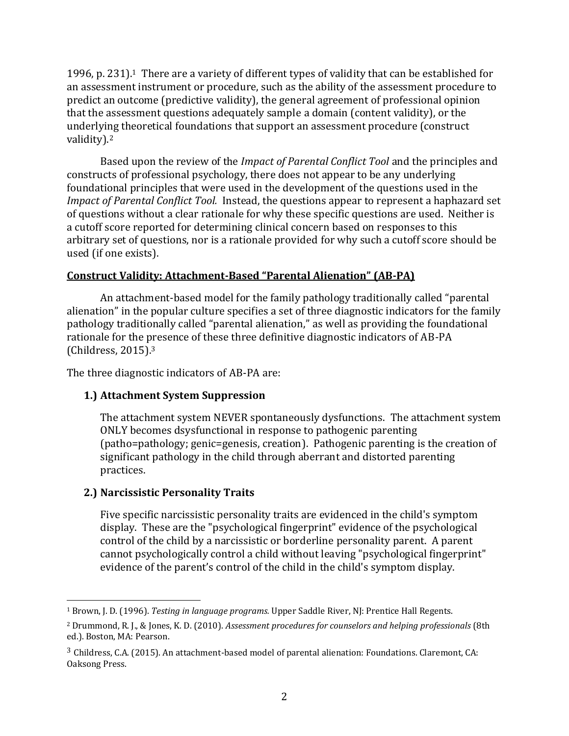1996, p. 231).<sup>1</sup> There are a variety of different types of validity that can be established for an assessment instrument or procedure, such as the ability of the assessment procedure to predict an outcome (predictive validity), the general agreement of professional opinion that the assessment questions adequately sample a domain (content validity), or the underlying theoretical foundations that support an assessment procedure (construct validity).<sup>2</sup>

Based upon the review of the *Impact of Parental Conflict Tool* and the principles and constructs of professional psychology, there does not appear to be any underlying foundational principles that were used in the development of the questions used in the *Impact of Parental Conflict Tool.* Instead, the questions appear to represent a haphazard set of questions without a clear rationale for why these specific questions are used. Neither is a cutoff score reported for determining clinical concern based on responses to this arbitrary set of questions, nor is a rationale provided for why such a cutoff score should be used (if one exists).

### **Construct Validity: Attachment-Based "Parental Alienation" (AB-PA)**

An attachment-based model for the family pathology traditionally called "parental alienation" in the popular culture specifies a set of three diagnostic indicators for the family pathology traditionally called "parental alienation," as well as providing the foundational rationale for the presence of these three definitive diagnostic indicators of AB-PA (Childress, 2015).<sup>3</sup>

The three diagnostic indicators of AB-PA are:

### **1.) Attachment System Suppression**

The attachment system NEVER spontaneously dysfunctions. The attachment system ONLY becomes dsysfunctional in response to pathogenic parenting (patho=pathology; genic=genesis, creation). Pathogenic parenting is the creation of significant pathology in the child through aberrant and distorted parenting practices.

### **2.) Narcissistic Personality Traits**

Five specific narcissistic personality traits are evidenced in the child's symptom display. These are the "psychological fingerprint" evidence of the psychological control of the child by a narcissistic or borderline personality parent. A parent cannot psychologically control a child without leaving "psychological fingerprint" evidence of the parent's control of the child in the child's symptom display.

 $\overline{a}$ <sup>1</sup> Brown, J. D. (1996). *Testing in language programs.* Upper Saddle River, NJ: Prentice Hall Regents.

<sup>2</sup> Drummond, R. J., & Jones, K. D. (2010). *Assessment procedures for counselors and helping professionals* (8th ed.). Boston, MA: Pearson.

<sup>3</sup> Childress, C.A. (2015). An attachment-based model of parental alienation: Foundations. Claremont, CA: Oaksong Press.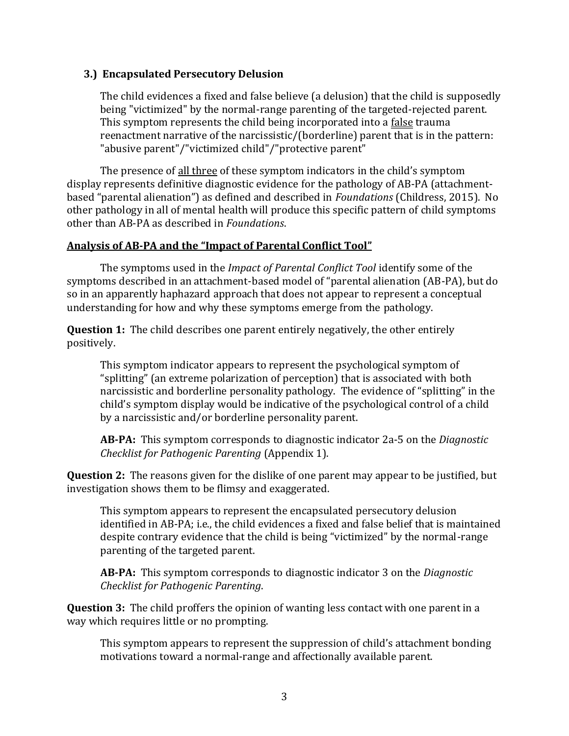### **3.) Encapsulated Persecutory Delusion**

The child evidences a fixed and false believe (a delusion) that the child is supposedly being "victimized" by the normal-range parenting of the targeted-rejected parent. This symptom represents the child being incorporated into a <u>false</u> trauma reenactment narrative of the narcissistic/(borderline) parent that is in the pattern: "abusive parent"/"victimized child"/"protective parent"

The presence of all three of these symptom indicators in the child's symptom display represents definitive diagnostic evidence for the pathology of AB-PA (attachmentbased "parental alienation") as defined and described in *Foundations* (Childress, 2015). No other pathology in all of mental health will produce this specific pattern of child symptoms other than AB-PA as described in *Foundations*.

### **Analysis of AB-PA and the "Impact of Parental Conflict Tool"**

The symptoms used in the *Impact of Parental Conflict Tool* identify some of the symptoms described in an attachment-based model of "parental alienation (AB-PA), but do so in an apparently haphazard approach that does not appear to represent a conceptual understanding for how and why these symptoms emerge from the pathology.

**Question 1:** The child describes one parent entirely negatively, the other entirely positively.

This symptom indicator appears to represent the psychological symptom of "splitting" (an extreme polarization of perception) that is associated with both narcissistic and borderline personality pathology. The evidence of "splitting" in the child's symptom display would be indicative of the psychological control of a child by a narcissistic and/or borderline personality parent.

**AB-PA:** This symptom corresponds to diagnostic indicator 2a-5 on the *Diagnostic Checklist for Pathogenic Parenting* (Appendix 1).

**Question 2:** The reasons given for the dislike of one parent may appear to be justified, but investigation shows them to be flimsy and exaggerated.

This symptom appears to represent the encapsulated persecutory delusion identified in AB-PA; i.e., the child evidences a fixed and false belief that is maintained despite contrary evidence that the child is being "victimized" by the normal-range parenting of the targeted parent.

**AB-PA:** This symptom corresponds to diagnostic indicator 3 on the *Diagnostic Checklist for Pathogenic Parenting*.

**Question 3:** The child proffers the opinion of wanting less contact with one parent in a way which requires little or no prompting.

This symptom appears to represent the suppression of child's attachment bonding motivations toward a normal-range and affectionally available parent.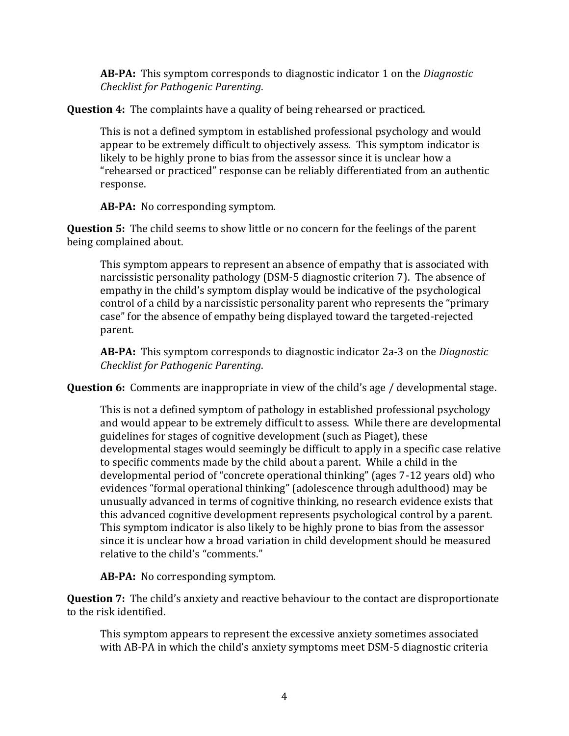**AB-PA:** This symptom corresponds to diagnostic indicator 1 on the *Diagnostic Checklist for Pathogenic Parenting*.

**Question 4:** The complaints have a quality of being rehearsed or practiced.

This is not a defined symptom in established professional psychology and would appear to be extremely difficult to objectively assess. This symptom indicator is likely to be highly prone to bias from the assessor since it is unclear how a "rehearsed or practiced" response can be reliably differentiated from an authentic response.

**AB-PA:** No corresponding symptom.

**Question 5:** The child seems to show little or no concern for the feelings of the parent being complained about.

This symptom appears to represent an absence of empathy that is associated with narcissistic personality pathology (DSM-5 diagnostic criterion 7). The absence of empathy in the child's symptom display would be indicative of the psychological control of a child by a narcissistic personality parent who represents the "primary case" for the absence of empathy being displayed toward the targeted-rejected parent.

**AB-PA:** This symptom corresponds to diagnostic indicator 2a-3 on the *Diagnostic Checklist for Pathogenic Parenting*.

**Question 6:** Comments are inappropriate in view of the child's age / developmental stage.

This is not a defined symptom of pathology in established professional psychology and would appear to be extremely difficult to assess. While there are developmental guidelines for stages of cognitive development (such as Piaget), these developmental stages would seemingly be difficult to apply in a specific case relative to specific comments made by the child about a parent. While a child in the developmental period of "concrete operational thinking" (ages 7-12 years old) who evidences "formal operational thinking" (adolescence through adulthood) may be unusually advanced in terms of cognitive thinking, no research evidence exists that this advanced cognitive development represents psychological control by a parent. This symptom indicator is also likely to be highly prone to bias from the assessor since it is unclear how a broad variation in child development should be measured relative to the child's "comments."

**AB-PA:** No corresponding symptom.

**Question 7:** The child's anxiety and reactive behaviour to the contact are disproportionate to the risk identified.

This symptom appears to represent the excessive anxiety sometimes associated with AB-PA in which the child's anxiety symptoms meet DSM-5 diagnostic criteria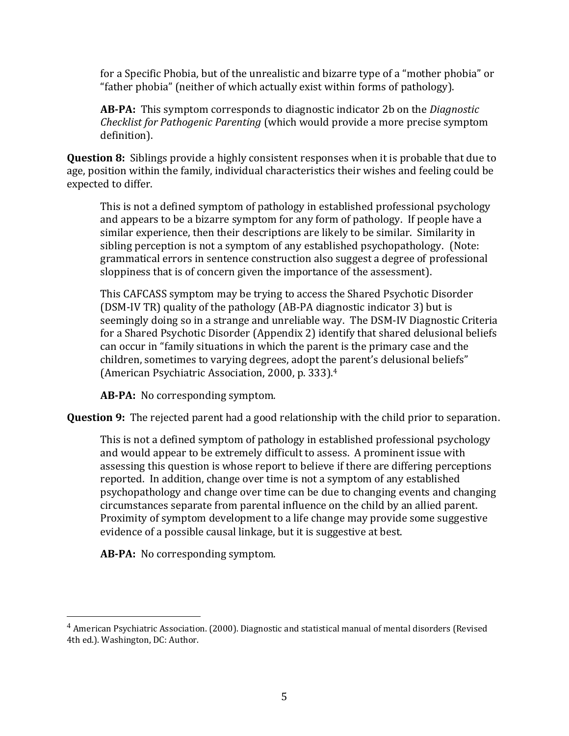for a Specific Phobia, but of the unrealistic and bizarre type of a "mother phobia" or "father phobia" (neither of which actually exist within forms of pathology).

**AB-PA:** This symptom corresponds to diagnostic indicator 2b on the *Diagnostic Checklist for Pathogenic Parenting* (which would provide a more precise symptom definition).

**Question 8:** Siblings provide a highly consistent responses when it is probable that due to age, position within the family, individual characteristics their wishes and feeling could be expected to differ.

This is not a defined symptom of pathology in established professional psychology and appears to be a bizarre symptom for any form of pathology. If people have a similar experience, then their descriptions are likely to be similar. Similarity in sibling perception is not a symptom of any established psychopathology. (Note: grammatical errors in sentence construction also suggest a degree of professional sloppiness that is of concern given the importance of the assessment).

This CAFCASS symptom may be trying to access the Shared Psychotic Disorder (DSM-IV TR) quality of the pathology (AB-PA diagnostic indicator 3) but is seemingly doing so in a strange and unreliable way. The DSM-IV Diagnostic Criteria for a Shared Psychotic Disorder (Appendix 2) identify that shared delusional beliefs can occur in "family situations in which the parent is the primary case and the children, sometimes to varying degrees, adopt the parent's delusional beliefs" (American Psychiatric Association, 2000, p. 333).<sup>4</sup>

**AB-PA:** No corresponding symptom.

**Question 9:** The rejected parent had a good relationship with the child prior to separation.

This is not a defined symptom of pathology in established professional psychology and would appear to be extremely difficult to assess. A prominent issue with assessing this question is whose report to believe if there are differing perceptions reported. In addition, change over time is not a symptom of any established psychopathology and change over time can be due to changing events and changing circumstances separate from parental influence on the child by an allied parent. Proximity of symptom development to a life change may provide some suggestive evidence of a possible causal linkage, but it is suggestive at best.

**AB-PA:** No corresponding symptom.

 $\overline{a}$ 

<sup>&</sup>lt;sup>4</sup> American Psychiatric Association. (2000). Diagnostic and statistical manual of mental disorders (Revised 4th ed.). Washington, DC: Author.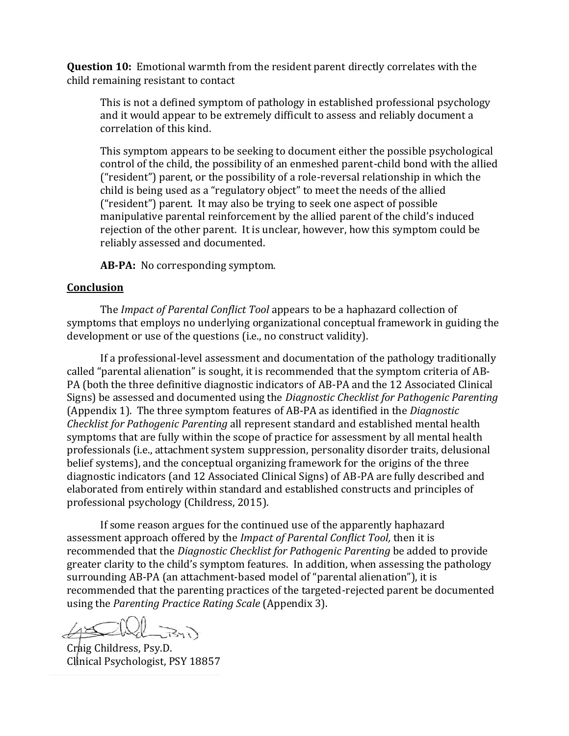**Question 10:** Emotional warmth from the resident parent directly correlates with the child remaining resistant to contact

This is not a defined symptom of pathology in established professional psychology and it would appear to be extremely difficult to assess and reliably document a correlation of this kind.

This symptom appears to be seeking to document either the possible psychological control of the child, the possibility of an enmeshed parent-child bond with the allied ("resident") parent, or the possibility of a role-reversal relationship in which the child is being used as a "regulatory object" to meet the needs of the allied ("resident") parent. It may also be trying to seek one aspect of possible manipulative parental reinforcement by the allied parent of the child's induced rejection of the other parent. It is unclear, however, how this symptom could be reliably assessed and documented.

**AB-PA:** No corresponding symptom.

### **Conclusion**

The *Impact of Parental Conflict Tool* appears to be a haphazard collection of symptoms that employs no underlying organizational conceptual framework in guiding the development or use of the questions (i.e., no construct validity).

If a professional-level assessment and documentation of the pathology traditionally called "parental alienation" is sought, it is recommended that the symptom criteria of AB-PA (both the three definitive diagnostic indicators of AB-PA and the 12 Associated Clinical Signs) be assessed and documented using the *Diagnostic Checklist for Pathogenic Parenting* (Appendix 1). The three symptom features of AB-PA as identified in the *Diagnostic Checklist for Pathogenic Parenting* all represent standard and established mental health symptoms that are fully within the scope of practice for assessment by all mental health professionals (i.e., attachment system suppression, personality disorder traits, delusional belief systems), and the conceptual organizing framework for the origins of the three diagnostic indicators (and 12 Associated Clinical Signs) of AB-PA are fully described and elaborated from entirely within standard and established constructs and principles of professional psychology (Childress, 2015).

If some reason argues for the continued use of the apparently haphazard assessment approach offered by the *Impact of Parental Conflict Tool,* then it is recommended that the *Diagnostic Checklist for Pathogenic Parenting* be added to provide greater clarity to the child's symptom features. In addition, when assessing the pathology surrounding AB-PA (an attachment-based model of "parental alienation"), it is recommended that the parenting practices of the targeted-rejected parent be documented using the *Parenting Practice Rating Scale* (Appendix 3).

 $\mathbb{R}$ 

Craig Childress, Psy.D. Clinical Psychologist, PSY 18857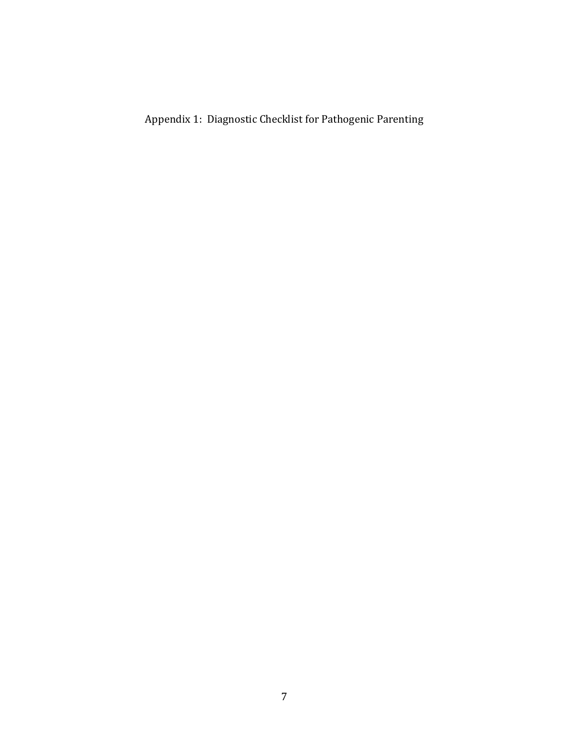Appendix 1: Diagnostic Checklist for Pathogenic Parenting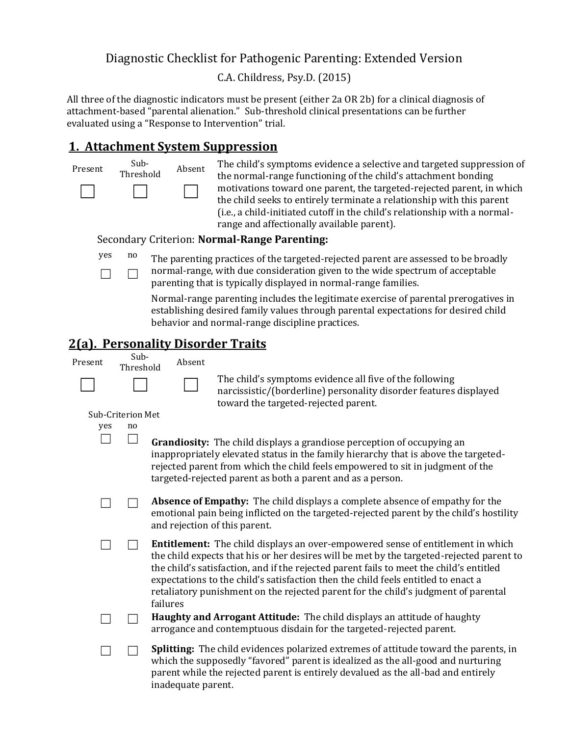### Diagnostic Checklist for Pathogenic Parenting: Extended Version

C.A. Childress, Psy.D. (2015)

All three of the diagnostic indicators must be present (either 2a OR 2b) for a clinical diagnosis of attachment-based "parental alienation." Sub-threshold clinical presentations can be further evaluated using a "Response to Intervention" trial.

### **1. Attachment System Suppression**

| Present | Sub-<br>Threshold | Absent                                          | The child's symptoms evidence a selective and targeted suppression of<br>the normal-range functioning of the child's attachment bonding<br>motivations toward one parent, the targeted-rejected parent, in which<br>the child seeks to entirely terminate a relationship with this parent<br>(i.e., a child-initiated cutoff in the child's relationship with a normal-<br>range and affectionally available parent).                                    |
|---------|-------------------|-------------------------------------------------|----------------------------------------------------------------------------------------------------------------------------------------------------------------------------------------------------------------------------------------------------------------------------------------------------------------------------------------------------------------------------------------------------------------------------------------------------------|
|         |                   |                                                 | Secondary Criterion: Normal-Range Parenting:                                                                                                                                                                                                                                                                                                                                                                                                             |
| yes     | no                |                                                 | The parenting practices of the targeted-rejected parent are assessed to be broadly<br>normal-range, with due consideration given to the wide spectrum of acceptable<br>parenting that is typically displayed in normal-range families.                                                                                                                                                                                                                   |
|         |                   |                                                 | Normal-range parenting includes the legitimate exercise of parental prerogatives in<br>establishing desired family values through parental expectations for desired child<br>behavior and normal-range discipline practices.                                                                                                                                                                                                                             |
|         |                   | <u><b>2(a). Personality Disorder Traits</b></u> |                                                                                                                                                                                                                                                                                                                                                                                                                                                          |
| Present | Sub-<br>Threshold | Absent                                          |                                                                                                                                                                                                                                                                                                                                                                                                                                                          |
|         |                   |                                                 | The child's symptoms evidence all five of the following<br>narcissistic/(borderline) personality disorder features displayed<br>toward the targeted-rejected parent.                                                                                                                                                                                                                                                                                     |
|         | Sub-Criterion Met |                                                 |                                                                                                                                                                                                                                                                                                                                                                                                                                                          |
| yes     | no                |                                                 |                                                                                                                                                                                                                                                                                                                                                                                                                                                          |
| $\Box$  | $\Box$            |                                                 | Grandiosity: The child displays a grandiose perception of occupying an<br>inappropriately elevated status in the family hierarchy that is above the targeted-<br>rejected parent from which the child feels empowered to sit in judgment of the<br>targeted-rejected parent as both a parent and as a person.                                                                                                                                            |
|         |                   | and rejection of this parent.                   | <b>Absence of Empathy:</b> The child displays a complete absence of empathy for the<br>emotional pain being inflicted on the targeted-rejected parent by the child's hostility                                                                                                                                                                                                                                                                           |
|         |                   | failures                                        | <b>Entitlement:</b> The child displays an over-empowered sense of entitlement in which<br>the child expects that his or her desires will be met by the targeted-rejected parent to<br>the child's satisfaction, and if the rejected parent fails to meet the child's entitled<br>expectations to the child's satisfaction then the child feels entitled to enact a<br>retaliatory punishment on the rejected parent for the child's judgment of parental |
|         |                   |                                                 | Haughty and Arrogant Attitude: The child displays an attitude of haughty<br>arrogance and contemptuous disdain for the targeted-rejected parent.                                                                                                                                                                                                                                                                                                         |
|         |                   | inadequate parent.                              | <b>Splitting:</b> The child evidences polarized extremes of attitude toward the parents, in<br>which the supposedly "favored" parent is idealized as the all-good and nurturing<br>parent while the rejected parent is entirely devalued as the all-bad and entirely                                                                                                                                                                                     |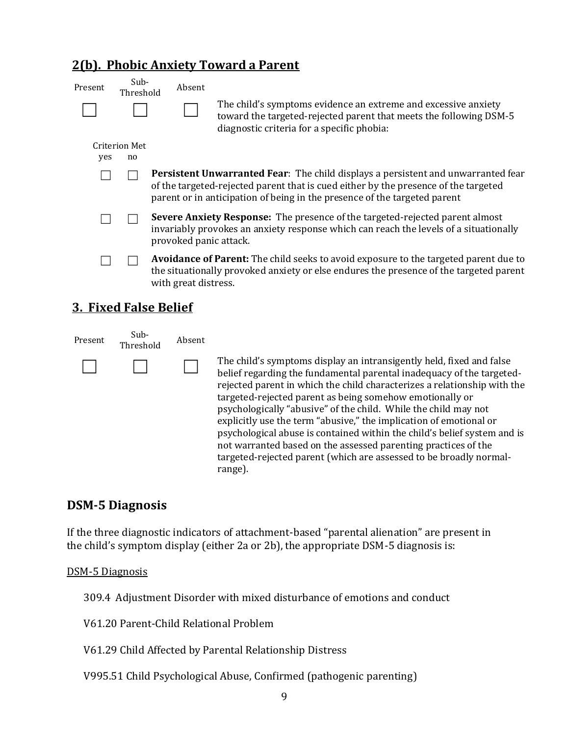### **2(b). Phobic Anxiety Toward a Parent**

| Present                      | Sub-<br>Threshold    | Absent                                                                                                                                                                                                 |                                                                                                                                                                                                                                                                                       |  |  |
|------------------------------|----------------------|--------------------------------------------------------------------------------------------------------------------------------------------------------------------------------------------------------|---------------------------------------------------------------------------------------------------------------------------------------------------------------------------------------------------------------------------------------------------------------------------------------|--|--|
|                              |                      |                                                                                                                                                                                                        | The child's symptoms evidence an extreme and excessive anxiety<br>toward the targeted-rejected parent that meets the following DSM-5<br>diagnostic criteria for a specific phobia:                                                                                                    |  |  |
|                              | <b>Criterion Met</b> |                                                                                                                                                                                                        |                                                                                                                                                                                                                                                                                       |  |  |
| yes                          | no                   |                                                                                                                                                                                                        |                                                                                                                                                                                                                                                                                       |  |  |
|                              |                      |                                                                                                                                                                                                        | Persistent Unwarranted Fear: The child displays a persistent and unwarranted fear<br>of the targeted-rejected parent that is cued either by the presence of the targeted<br>parent or in anticipation of being in the presence of the targeted parent                                 |  |  |
|                              |                      | Severe Anxiety Response: The presence of the targeted-rejected parent almost<br>invariably provokes an anxiety response which can reach the levels of a situationally<br>provoked panic attack.        |                                                                                                                                                                                                                                                                                       |  |  |
|                              |                      | Avoidance of Parent: The child seeks to avoid exposure to the targeted parent due to<br>the situationally provoked anxiety or else endures the presence of the targeted parent<br>with great distress. |                                                                                                                                                                                                                                                                                       |  |  |
| <b>3. Fixed False Belief</b> |                      |                                                                                                                                                                                                        |                                                                                                                                                                                                                                                                                       |  |  |
| Present                      | Sub-<br>Threshold    | Absent                                                                                                                                                                                                 |                                                                                                                                                                                                                                                                                       |  |  |
|                              |                      |                                                                                                                                                                                                        | The child's symptoms display an intransigently held, fixed and false<br>belief regarding the fundamental parental inadequacy of the targeted-<br>rejected parent in which the child characterizes a relationship with the<br>targeted-rejected parent as being somehow emotionally or |  |  |

psychologically "abusive" of the child. While the child may not explicitly use the term "abusive," the implication of emotional or psychological abuse is contained within the child's belief system and is not warranted based on the assessed parenting practices of the targeted-rejected parent (which are assessed to be broadly normalrange).

### **DSM-5 Diagnosis**

If the three diagnostic indicators of attachment-based "parental alienation" are present in the child's symptom display (either 2a or 2b), the appropriate DSM-5 diagnosis is:

### DSM-5 Diagnosis

309.4 Adjustment Disorder with mixed disturbance of emotions and conduct

V61.20 Parent-Child Relational Problem

V61.29 Child Affected by Parental Relationship Distress

V995.51 Child Psychological Abuse, Confirmed (pathogenic parenting)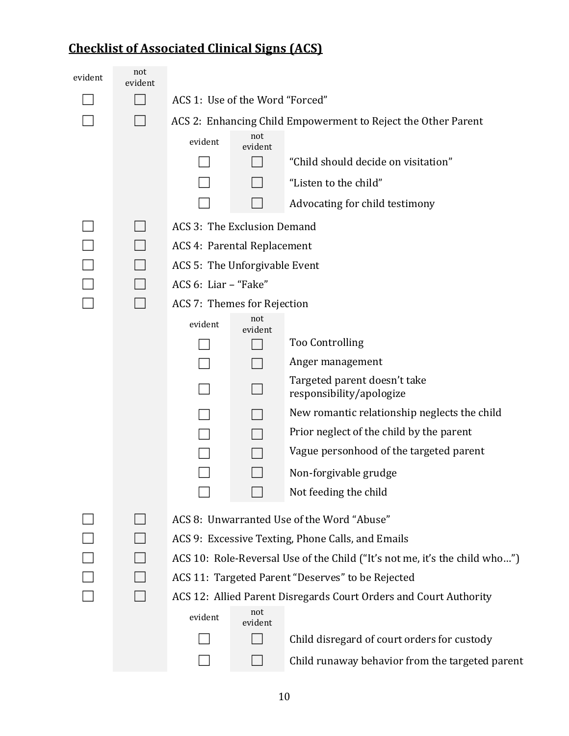# **Checklist of Associated Clinical Signs (ACS)**

| evident | not<br>evident |                                                                            |                |                                                          |
|---------|----------------|----------------------------------------------------------------------------|----------------|----------------------------------------------------------|
|         |                | ACS 1: Use of the Word "Forced"                                            |                |                                                          |
|         |                | ACS 2: Enhancing Child Empowerment to Reject the Other Parent              |                |                                                          |
|         |                | evident                                                                    | not<br>evident |                                                          |
|         |                |                                                                            |                | "Child should decide on visitation"                      |
|         |                |                                                                            |                | "Listen to the child"                                    |
|         |                |                                                                            |                | Advocating for child testimony                           |
|         |                | ACS 3: The Exclusion Demand                                                |                |                                                          |
|         |                | ACS 4: Parental Replacement                                                |                |                                                          |
|         |                | ACS 5: The Unforgivable Event                                              |                |                                                          |
|         |                | ACS 6: Liar - "Fake"                                                       |                |                                                          |
|         |                | ACS 7: Themes for Rejection                                                |                |                                                          |
|         |                | evident                                                                    | not<br>evident |                                                          |
|         |                |                                                                            |                | <b>Too Controlling</b>                                   |
|         |                |                                                                            |                | Anger management                                         |
|         |                |                                                                            |                | Targeted parent doesn't take<br>responsibility/apologize |
|         |                |                                                                            |                | New romantic relationship neglects the child             |
|         |                |                                                                            |                | Prior neglect of the child by the parent                 |
|         |                |                                                                            |                | Vague personhood of the targeted parent                  |
|         |                |                                                                            |                | Non-forgivable grudge                                    |
|         |                |                                                                            |                | Not feeding the child                                    |
|         |                | ACS 8: Unwarranted Use of the Word "Abuse"                                 |                |                                                          |
|         |                | ACS 9: Excessive Texting, Phone Calls, and Emails                          |                |                                                          |
|         |                | ACS 10: Role-Reversal Use of the Child ("It's not me, it's the child who") |                |                                                          |
|         |                | ACS 11: Targeted Parent "Deserves" to be Rejected                          |                |                                                          |
|         |                | ACS 12: Allied Parent Disregards Court Orders and Court Authority          |                |                                                          |
|         |                | evident                                                                    | not<br>evident |                                                          |
|         |                |                                                                            |                | Child disregard of court orders for custody              |
|         |                |                                                                            |                | Child runaway behavior from the targeted parent          |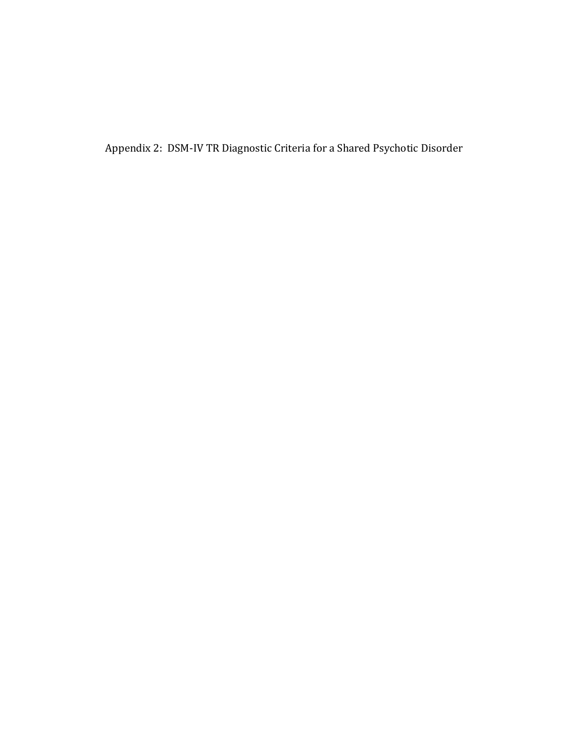Appendix 2: DSM-IV TR Diagnostic Criteria for a Shared Psychotic Disorder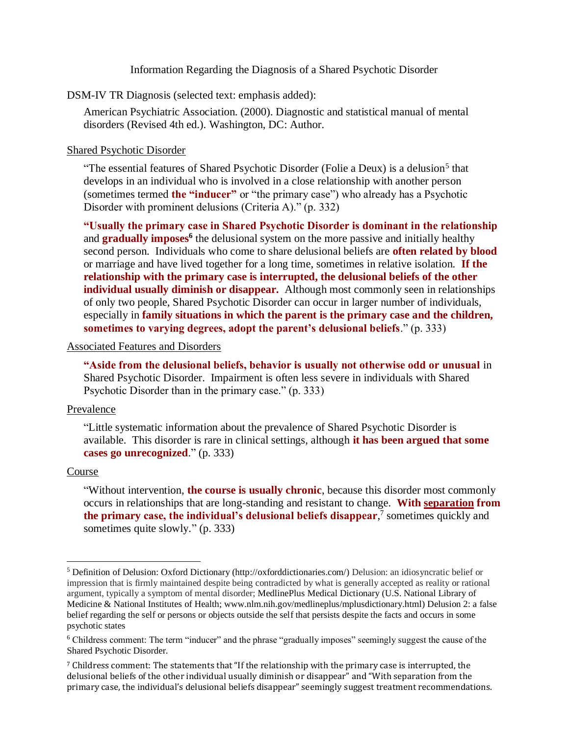Information Regarding the Diagnosis of a Shared Psychotic Disorder

DSM-IV TR Diagnosis (selected text: emphasis added):

American Psychiatric Association. (2000). Diagnostic and statistical manual of mental disorders (Revised 4th ed.). Washington, DC: Author.

### Shared Psychotic Disorder

"The essential features of Shared Psychotic Disorder (Folie a Deux) is a delusion<sup>5</sup> that develops in an individual who is involved in a close relationship with another person (sometimes termed **the "inducer"** or "the primary case") who already has a Psychotic Disorder with prominent delusions (Criteria A)." (p. 332)

**"Usually the primary case in Shared Psychotic Disorder is dominant in the relationship** and **gradually imposes<sup>6</sup>** the delusional system on the more passive and initially healthy second person. Individuals who come to share delusional beliefs are **often related by blood** or marriage and have lived together for a long time, sometimes in relative isolation. **If the relationship with the primary case is interrupted, the delusional beliefs of the other individual usually diminish or disappear.** Although most commonly seen in relationships of only two people, Shared Psychotic Disorder can occur in larger number of individuals, especially in **family situations in which the parent is the primary case and the children, sometimes to varying degrees, adopt the parent's delusional beliefs**." (p. 333)

#### Associated Features and Disorders

**"Aside from the delusional beliefs, behavior is usually not otherwise odd or unusual** in Shared Psychotic Disorder. Impairment is often less severe in individuals with Shared Psychotic Disorder than in the primary case." (p. 333)

### Prevalence

"Little systematic information about the prevalence of Shared Psychotic Disorder is available. This disorder is rare in clinical settings, although **it has been argued that some cases go unrecognized**." (p. 333)

### Course

 $\overline{a}$ 

"Without intervention, **the course is usually chronic**, because this disorder most commonly occurs in relationships that are long-standing and resistant to change. **With separation from the primary case, the individual's delusional beliefs disappear**, 7 sometimes quickly and sometimes quite slowly." (p. 333)

<sup>5</sup> Definition of Delusion: Oxford Dictionary (http://oxforddictionaries.com/) Delusion: an idiosyncratic belief or impression that is firmly maintained despite being contradicted by what is generally accepted as reality or rational argument, typically a symptom of mental disorder; MedlinePlus Medical Dictionary (U.S. National Library of Medicine & National Institutes of Health; www.nlm.nih.gov/medlineplus/mplusdictionary.html) Delusion 2: a false belief regarding the self or persons or objects outside the self that persists despite the facts and occurs in some psychotic states

<sup>6</sup> Childress comment: The term "inducer" and the phrase "gradually imposes" seemingly suggest the cause of the Shared Psychotic Disorder.

<sup>7</sup> Childress comment: The statements that "If the relationship with the primary case is interrupted, the delusional beliefs of the other individual usually diminish or disappear" and "With separation from the primary case, the individual's delusional beliefs disappear" seemingly suggest treatment recommendations.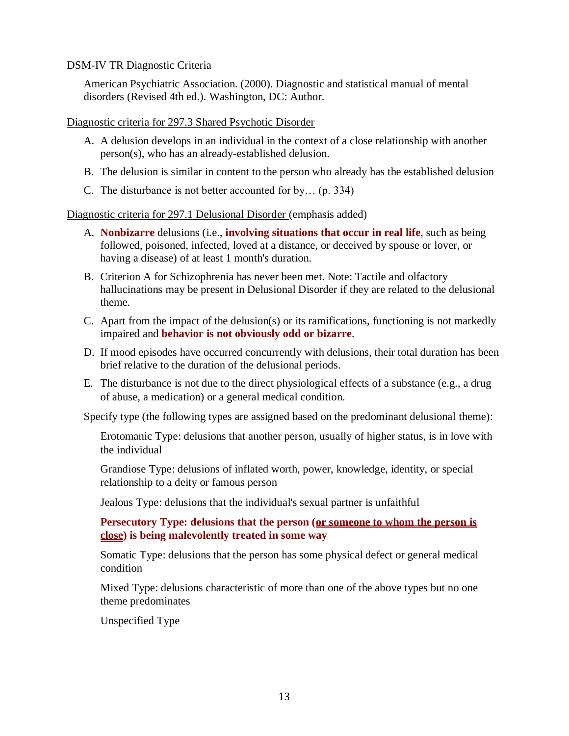#### DSM-IV TR Diagnostic Criteria

American Psychiatric Association. (2000). Diagnostic and statistical manual of mental disorders (Revised 4th ed.). Washington, DC: Author.

Diagnostic criteria for 297.3 Shared Psychotic Disorder

- A. A delusion develops in an individual in the context of a close relationship with another person(s), who has an already-established delusion.
- B. The delusion is similar in content to the person who already has the established delusion
- C. The disturbance is not better accounted for by… (p. 334)

Diagnostic criteria for 297.1 Delusional Disorder (emphasis added)

- A. **Nonbizarre** delusions (i.e., **involving situations that occur in real life**, such as being followed, poisoned, infected, loved at a distance, or deceived by spouse or lover, or having a disease) of at least 1 month's duration.
- B. Criterion A for Schizophrenia has never been met. Note: Tactile and olfactory hallucinations may be present in Delusional Disorder if they are related to the delusional theme.
- C. Apart from the impact of the delusion(s) or its ramifications, functioning is not markedly impaired and **behavior is not obviously odd or bizarre**.
- D. If [mood](http://www.behavenet.com/capsules/disorders/mood.htm) episodes have occurred concurrently with delusions, their total duration has been brief relative to the duration of the delusional periods.
- E. The disturbance is not due to the direct physiological effects of a [substance](http://www.behavenet.com/capsules/treatments/drugs/drug.htm) (e.g., a drug of abuse, a medication) or a general medical condition.

Specify type (the following types are assigned based on the predominant delusional theme):

[Erotomanic Type:](http://www.behavenet.com/capsules/disorders/DDErotomanic%20Type.htm) delusions that another person, usually of higher status, is in love with the individual

[Grandiose Type:](http://www.behavenet.com/capsules/disorders/DDGrandiose%20Type.htm) delusions of inflated worth, power, knowledge, identity, or special relationship to a deity or famous person

[Jealous Type:](http://www.behavenet.com/capsules/disorders/DDJealous%20Type.htm) delusions that the individual's sexual partner is unfaithful

### **Persecutory Type: delusions that the person (or someone to whom the person is close) is being malevolently treated in some way**

[Somatic Type:](http://www.behavenet.com/capsules/disorders/DDSomatic%20Type.htm) delusions that the person has some physical defect or general medical condition

[Mixed Type:](http://www.behavenet.com/capsules/disorders/DDMixed%20Type.htm) delusions characteristic of more than one of the above types but no one theme predominates

Unspecified Type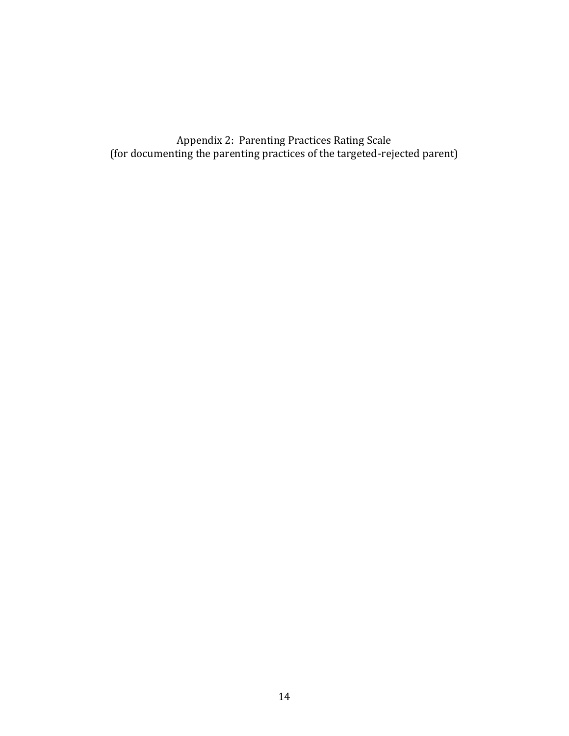Appendix 2: Parenting Practices Rating Scale (for documenting the parenting practices of the targeted-rejected parent)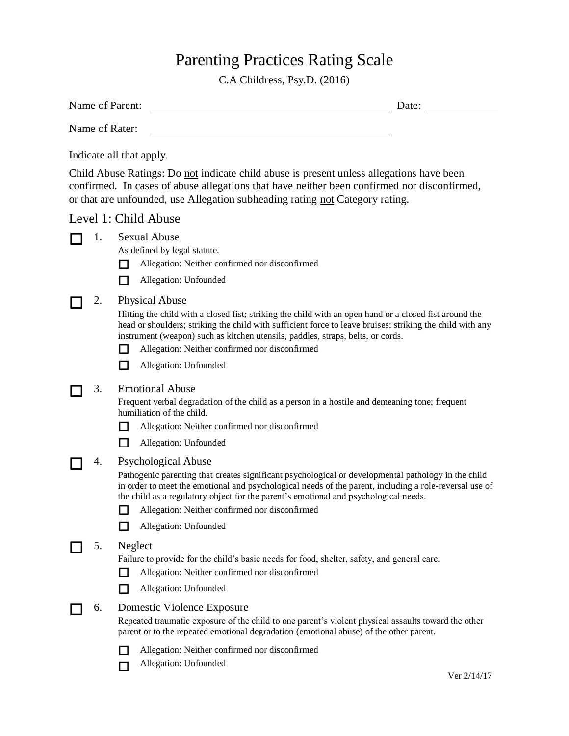# Parenting Practices Rating Scale

C.A Childress, Psy.D. (2016)

| Name of Parent: |                |                          |                                                                                                                                                                                                                                                                                                                                                                                                                | Date: |
|-----------------|----------------|--------------------------|----------------------------------------------------------------------------------------------------------------------------------------------------------------------------------------------------------------------------------------------------------------------------------------------------------------------------------------------------------------------------------------------------------------|-------|
|                 | Name of Rater: |                          |                                                                                                                                                                                                                                                                                                                                                                                                                |       |
|                 |                | Indicate all that apply. |                                                                                                                                                                                                                                                                                                                                                                                                                |       |
|                 |                |                          | Child Abuse Ratings: Do not indicate child abuse is present unless allegations have been<br>confirmed. In cases of abuse allegations that have neither been confirmed nor disconfirmed,<br>or that are unfounded, use Allegation subheading rating not Category rating.                                                                                                                                        |       |
|                 |                | Level 1: Child Abuse     |                                                                                                                                                                                                                                                                                                                                                                                                                |       |
|                 | 1.             | ΙI<br>$\blacksquare$     | <b>Sexual Abuse</b><br>As defined by legal statute.<br>Allegation: Neither confirmed nor disconfirmed<br>Allegation: Unfounded                                                                                                                                                                                                                                                                                 |       |
|                 | 2.             | - 1<br>- 1               | <b>Physical Abuse</b><br>Hitting the child with a closed fist; striking the child with an open hand or a closed fist around the<br>head or shoulders; striking the child with sufficient force to leave bruises; striking the child with any<br>instrument (weapon) such as kitchen utensils, paddles, straps, belts, or cords.<br>Allegation: Neither confirmed nor disconfirmed<br>Allegation: Unfounded     |       |
|                 | 3.             | - 1<br>l I               | <b>Emotional Abuse</b><br>Frequent verbal degradation of the child as a person in a hostile and demeaning tone; frequent<br>humiliation of the child.<br>Allegation: Neither confirmed nor disconfirmed<br>Allegation: Unfounded                                                                                                                                                                               |       |
|                 | 4.             | П                        | <b>Psychological Abuse</b><br>Pathogenic parenting that creates significant psychological or developmental pathology in the child<br>in order to meet the emotional and psychological needs of the parent, including a role-reversal use of<br>the child as a regulatory object for the parent's emotional and psychological needs.<br>Allegation: Neither confirmed nor disconfirmed<br>Allegation: Unfounded |       |
|                 | 5.             | Neglect                  | Failure to provide for the child's basic needs for food, shelter, safety, and general care.<br>Allegation: Neither confirmed nor disconfirmed<br>Allegation: Unfounded                                                                                                                                                                                                                                         |       |
| 6.              |                |                          | Domestic Violence Exposure<br>Repeated traumatic exposure of the child to one parent's violent physical assaults toward the other<br>parent or to the repeated emotional degradation (emotional abuse) of the other parent.                                                                                                                                                                                    |       |
|                 |                |                          | Allegation: Neither confirmed nor disconfirmed<br>Allegation: Unfounded                                                                                                                                                                                                                                                                                                                                        |       |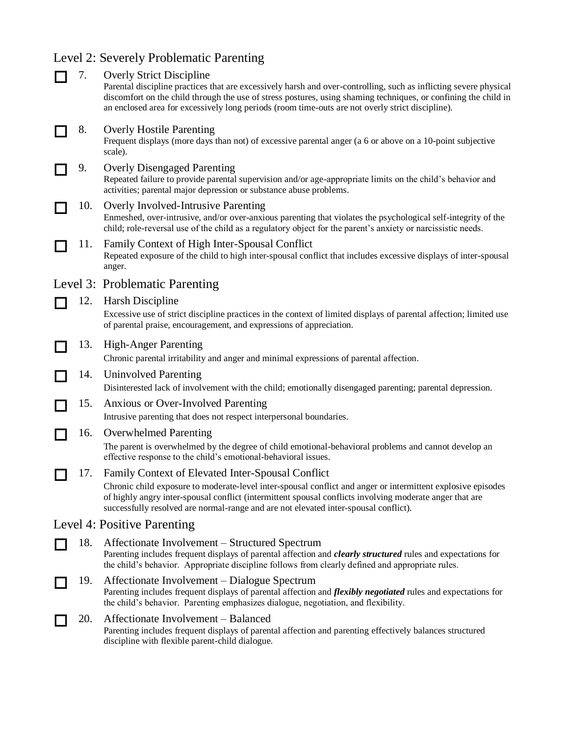# Level 2: Severely Problematic Parenting

| 7.  | <b>Overly Strict Discipline</b><br>Parental discipline practices that are excessively harsh and over-controlling, such as inflicting severe physical<br>discomfort on the child through the use of stress postures, using shaming techniques, or confining the child in<br>an enclosed area for excessively long periods (room time-outs are not overly strict discipline). |  |
|-----|-----------------------------------------------------------------------------------------------------------------------------------------------------------------------------------------------------------------------------------------------------------------------------------------------------------------------------------------------------------------------------|--|
| 8.  | <b>Overly Hostile Parenting</b><br>Frequent displays (more days than not) of excessive parental anger (a 6 or above on a 10-point subjective<br>scale).                                                                                                                                                                                                                     |  |
| 9.  | <b>Overly Disengaged Parenting</b><br>Repeated failure to provide parental supervision and/or age-appropriate limits on the child's behavior and<br>activities; parental major depression or substance abuse problems.                                                                                                                                                      |  |
| 10. | <b>Overly Involved-Intrusive Parenting</b><br>Enmeshed, over-intrusive, and/or over-anxious parenting that violates the psychological self-integrity of the<br>child; role-reversal use of the child as a regulatory object for the parent's anxiety or narcissistic needs.                                                                                                 |  |
| 11. | Family Context of High Inter-Spousal Conflict<br>Repeated exposure of the child to high inter-spousal conflict that includes excessive displays of inter-spousal<br>anger.                                                                                                                                                                                                  |  |
|     | Level 3: Problematic Parenting                                                                                                                                                                                                                                                                                                                                              |  |
| 12. | Harsh Discipline<br>Excessive use of strict discipline practices in the context of limited displays of parental affection; limited use<br>of parental praise, encouragement, and expressions of appreciation.                                                                                                                                                               |  |
| 13. | <b>High-Anger Parenting</b><br>Chronic parental irritability and anger and minimal expressions of parental affection.                                                                                                                                                                                                                                                       |  |
| 14. | <b>Uninvolved Parenting</b><br>Disinterested lack of involvement with the child; emotionally disengaged parenting; parental depression.                                                                                                                                                                                                                                     |  |
| 15. | Anxious or Over-Involved Parenting<br>Intrusive parenting that does not respect interpersonal boundaries.                                                                                                                                                                                                                                                                   |  |
| 16. | <b>Overwhelmed Parenting</b><br>The parent is overwhelmed by the degree of child emotional-behavioral problems and cannot develop an<br>effective response to the child's emotional-behavioral issues.                                                                                                                                                                      |  |
| 17. | Family Context of Elevated Inter-Spousal Conflict<br>Chronic child exposure to moderate-level inter-spousal conflict and anger or intermittent explosive episodes<br>of highly angry inter-spousal conflict (intermittent spousal conflicts involving moderate anger that are<br>successfully resolved are normal-range and are not elevated inter-spousal conflict).       |  |
|     | Level 4: Positive Parenting                                                                                                                                                                                                                                                                                                                                                 |  |
| 18. | Affectionate Involvement – Structured Spectrum<br>Parenting includes frequent displays of parental affection and clearly structured rules and expectations for<br>the child's behavior. Appropriate discipline follows from clearly defined and appropriate rules.                                                                                                          |  |
| 19. | Affectionate Involvement – Dialogue Spectrum<br>Parenting includes frequent displays of parental affection and <i>flexibly negotiated</i> rules and expectations for<br>the child's behavior. Parenting emphasizes dialogue, negotiation, and flexibility.                                                                                                                  |  |
| 20. | Affectionate Involvement – Balanced<br>Parenting includes frequent displays of parental affection and parenting effectively balances structured<br>discipling with floyible perent child dialogue                                                                                                                                                                           |  |

discipline with flexible parent-child dialogue.